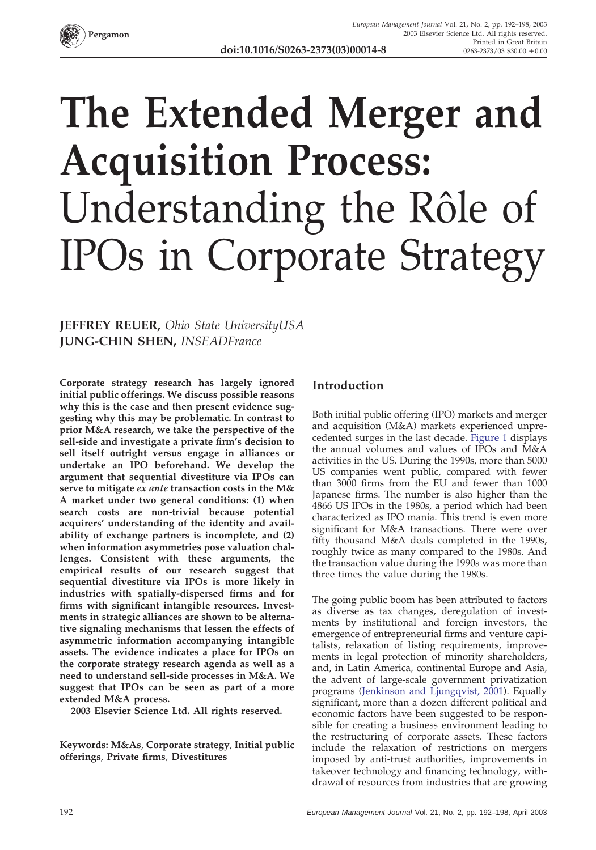

## **The Extended Merger and Acquisition Process:** Understanding the Rôle of IPOs in Corporate Strategy

**JEFFREY REUER,** *Ohio State UniversityUSA* **JUNG-CHIN SHEN,** *INSEADFrance*

**Corporate strategy research has largely ignored initial public offerings. We discuss possible reasons why this is the case and then present evidence suggesting why this may be problematic. In contrast to prior M&A research, we take the perspective of the sell-side and investigate a private firm's decision to sell itself outright versus engage in alliances or undertake an IPO beforehand. We develop the argument that sequential divestiture via IPOs can serve to mitigate** *ex ante* **transaction costs in the M& A market under two general conditions: (1) when search costs are non-trivial because potential acquirers' understanding of the identity and availability of exchange partners is incomplete, and (2) when information asymmetries pose valuation challenges. Consistent with these arguments, the empirical results of our research suggest that sequential divestiture via IPOs is more likely in industries with spatially-dispersed firms and for firms with significant intangible resources. Investments in strategic alliances are shown to be alternative signaling mechanisms that lessen the effects of asymmetric information accompanying intangible assets. The evidence indicates a place for IPOs on the corporate strategy research agenda as well as a need to understand sell-side processes in M&A. We suggest that IPOs can be seen as part of a more extended M&A process.**

**2003 Elsevier Science Ltd. All rights reserved.**

**Keywords: M&As**, **Corporate strategy**, **Initial public offerings**, **Private firms**, **Divestitures**

## **Introduction**

Both initial public offering (IPO) markets and merger and acquisition (M&A) markets experienced unprecedented surges in the last decade. [Figure 1](#page-1-0) displays the annual volumes and values of IPOs and M&A activities in the US. During the 1990s, more than 5000 US companies went public, compared with fewer than 3000 firms from the EU and fewer than 1000 Japanese firms. The number is also higher than the 4866 US IPOs in the 1980s, a period which had been characterized as IPO mania. This trend is even more significant for M&A transactions. There were over fifty thousand M&A deals completed in the 1990s, roughly twice as many compared to the 1980s. And the transaction value during the 1990s was more than three times the value during the 1980s.

The going public boom has been attributed to factors as diverse as tax changes, deregulation of investments by institutional and foreign investors, the emergence of entrepreneurial firms and venture capitalists, relaxation of listing requirements, improvements in legal protection of minority shareholders, and, in Latin America, continental Europe and Asia, the advent of large-scale government privatization programs (Jenkinson and Ljungqvist, 2001). Equally significant, more than a dozen different political and economic factors have been suggested to be responsible for creating a business environment leading to the restructuring of corporate assets. These factors include the relaxation of restrictions on mergers imposed by anti-trust authorities, improvements in takeover technology and financing technology, withdrawal of resources from industries that are growing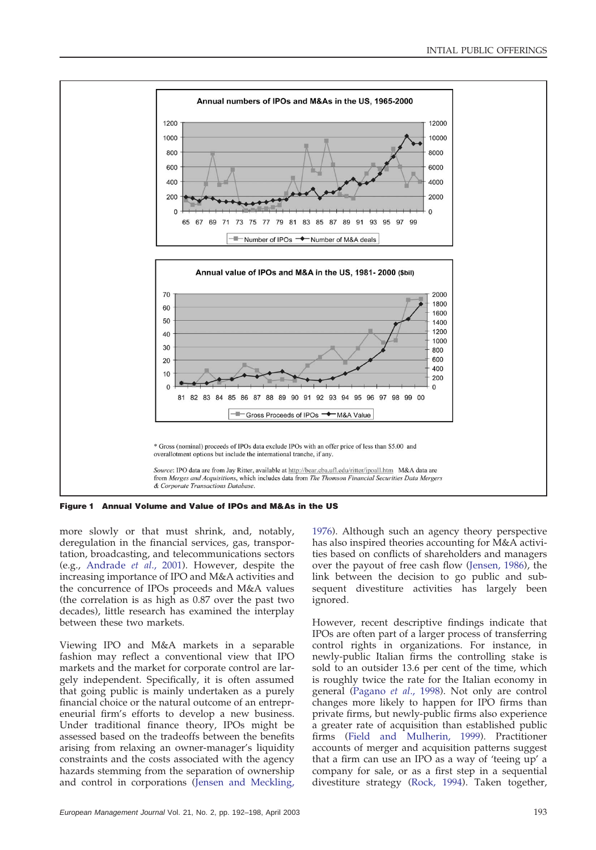<span id="page-1-0"></span>

**Figure 1 Annual Volume and Value of IPOs and M&As in the US**

more slowly or that must shrink, and, notably, deregulation in the financial services, gas, transportation, broadcasting, and telecommunications sectors (e.g., Andrade *et al*., 2001). However, despite the increasing importance of IPO and M&A activities and the concurrence of IPOs proceeds and M&A values (the correlation is as high as 0.87 over the past two decades), little research has examined the interplay between these two markets.

Viewing IPO and M&A markets in a separable fashion may reflect a conventional view that IPO markets and the market for corporate control are largely independent. Specifically, it is often assumed that going public is mainly undertaken as a purely financial choice or the natural outcome of an entrepreneurial firm's efforts to develop a new business. Under traditional finance theory, IPOs might be assessed based on the tradeoffs between the benefits arising from relaxing an owner-manager's liquidity constraints and the costs associated with the agency hazards stemming from the separation of ownership and control in corporations (Jensen and Meckling,

1976). Although such an agency theory perspective has also inspired theories accounting for M&A activities based on conflicts of shareholders and managers over the payout of free cash flow (Jensen, 1986), the link between the decision to go public and subsequent divestiture activities has largely been ignored.

However, recent descriptive findings indicate that IPOs are often part of a larger process of transferring control rights in organizations. For instance, in newly-public Italian firms the controlling stake is sold to an outsider 13.6 per cent of the time, which is roughly twice the rate for the Italian economy in general (Pagano *et al*., 1998). Not only are control changes more likely to happen for IPO firms than private firms, but newly-public firms also experience a greater rate of acquisition than established public firms (Field and Mulherin, 1999). Practitioner accounts of merger and acquisition patterns suggest that a firm can use an IPO as a way of 'teeing up' a company for sale, or as a first step in a sequential divestiture strategy (Rock, 1994). Taken together,